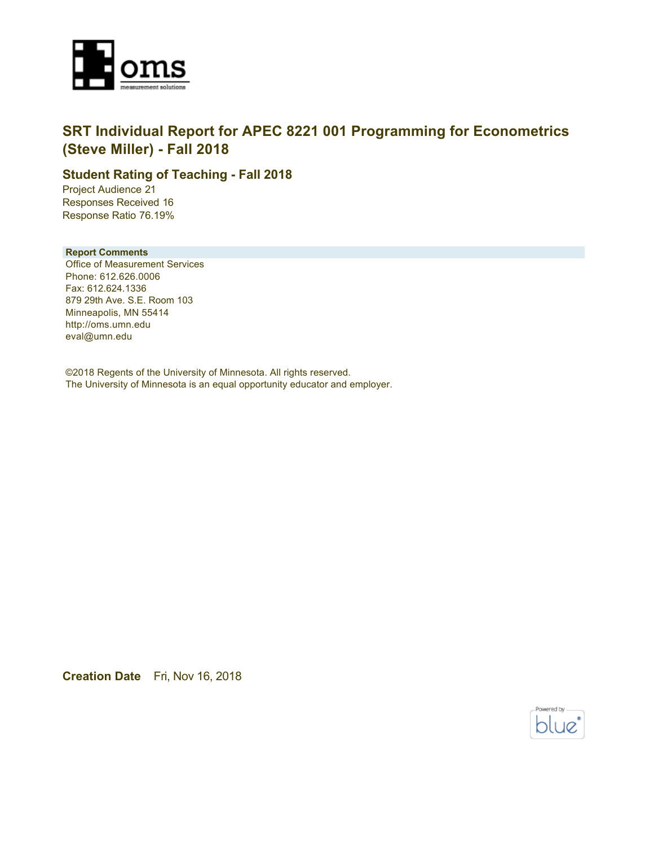

## **SRT Individual Report for APEC 8221 001 Programming for Econometrics (Steve Miller) - Fall 2018**

### **Student Rating of Teaching - Fall 2018**

Project Audience 21 Responses Received 16 Response Ratio 76.19%

#### **Report Comments**

Office of Measurement Services Phone: 612.626.0006 Fax: 612.624.1336 879 29th Ave. S.E. Room 103 Minneapolis, MN 55414 http://oms.umn.edu eval@umn.edu

©2018 Regents of the University of Minnesota. All rights reserved. The University of Minnesota is an equal opportunity educator and employer.

**Creation Date** Fri, Nov 16, 2018

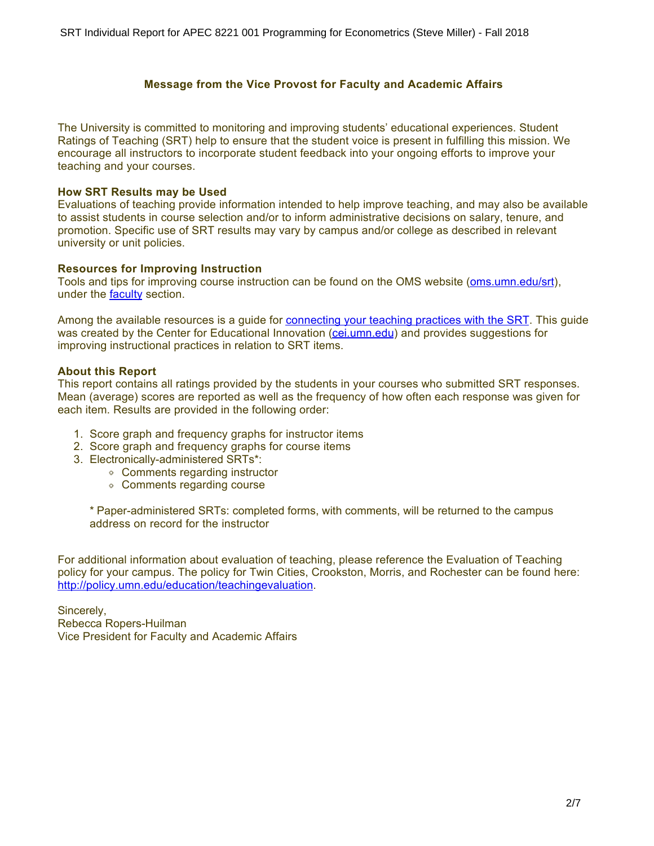### **Message from the Vice Provost for Faculty and Academic Affairs**

The University is committed to monitoring and improving students' educational experiences. Student Ratings of Teaching (SRT) help to ensure that the student voice is present in fulfilling this mission. We encourage all instructors to incorporate student feedback into your ongoing efforts to improve your teaching and your courses.

#### **How SRT Results may be Used**

Evaluations of teaching provide information intended to help improve teaching, and may also be available to assist students in course selection and/or to inform administrative decisions on salary, tenure, and promotion. Specific use of SRT results may vary by campus and/or college as described in relevant university or unit policies.

#### **Resources for Improving Instruction**

Tools and tips for improving course instruction can be found on the OMS website [\(oms.umn.edu/srt](https://oms.umn.edu/srt)), under the **faculty** section.

Among the available resources is a guide for [connecting your teaching practices with the SRT.](https://oms.umn.edu/departments/srt/links/SRT%20and%20Teaching.pdf) This guide was created by the Center for Educational Innovation [\(cei.umn.edu](https://cei.umn.edu/)) and provides suggestions for improving instructional practices in relation to SRT items.

### **About this Report**

This report contains all ratings provided by the students in your courses who submitted SRT responses. Mean (average) scores are reported as well as the frequency of how often each response was given for each item. Results are provided in the following order:

- 1. Score graph and frequency graphs for instructor items
- 2. Score graph and frequency graphs for course items
- 3. Electronically-administered SRTs\*:
	- Comments regarding instructor
	- Comments regarding course

\* Paper-administered SRTs: completed forms, with comments, will be returned to the campus address on record for the instructor

For additional information about evaluation of teaching, please reference the Evaluation of Teaching policy for your campus. The policy for Twin Cities, Crookston, Morris, and Rochester can be found here: <http://policy.umn.edu/education/teachingevaluation>.

Sincerely, Rebecca Ropers-Huilman Vice President for Faculty and Academic Affairs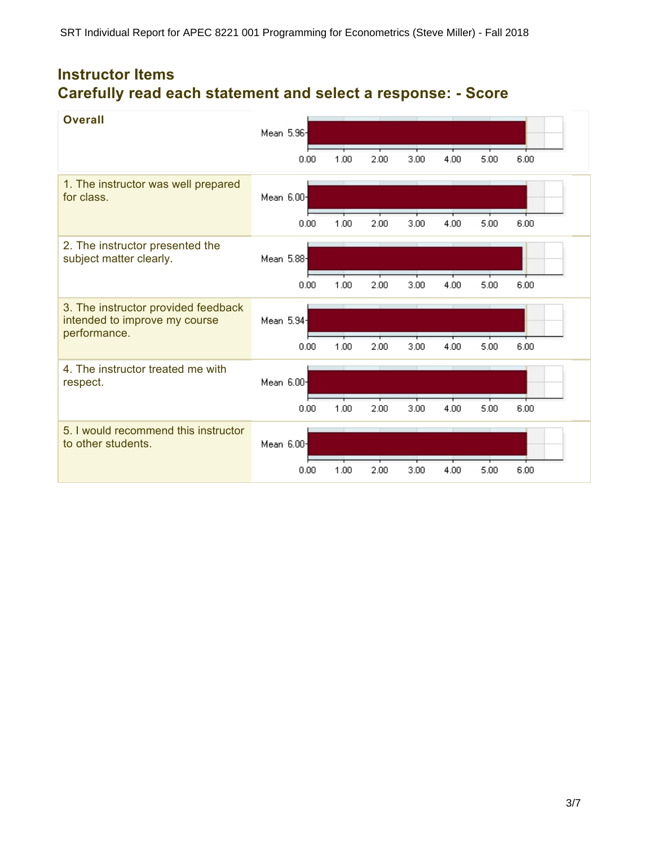# **Instructor Items Carefully read each statement and select a response: - Score**

| <b>Overall</b>                                                                       | Mean 5.96  |      |      |      |      |      |      |
|--------------------------------------------------------------------------------------|------------|------|------|------|------|------|------|
|                                                                                      | 0.00       | 1.00 | 2.00 | 3.00 | 4.00 | 5.00 | 6.00 |
| 1. The instructor was well prepared<br>for class.                                    | Mean 6.00- |      |      |      |      |      |      |
|                                                                                      | 0.00       | 1.00 | 2.00 | 3.00 | 4.00 | 5.00 | 6.00 |
| 2. The instructor presented the<br>subject matter clearly.                           | Mean 5.88  |      |      |      |      |      |      |
|                                                                                      | 0.00       | 1.00 | 2.00 | 3.00 | 4.00 | 5.00 | 6.00 |
| 3. The instructor provided feedback<br>intended to improve my course<br>performance. | Mean 5.94- |      |      |      |      |      |      |
|                                                                                      | 0.00       | 1.00 | 2.00 | 3.00 | 4.00 | 5.00 | 6.00 |
| 4. The instructor treated me with<br>respect.                                        | Mean 6.00- |      |      |      |      |      |      |
|                                                                                      | 0.00       | 1.00 | 2.00 | 3.00 | 4.00 | 5.00 | 6.00 |
| 5. I would recommend this instructor<br>to other students.                           | Mean 6.00- |      |      |      |      |      |      |
|                                                                                      | 0.00       | 1.00 | 2.00 | 3.00 | 4.00 | 5.00 | 6.00 |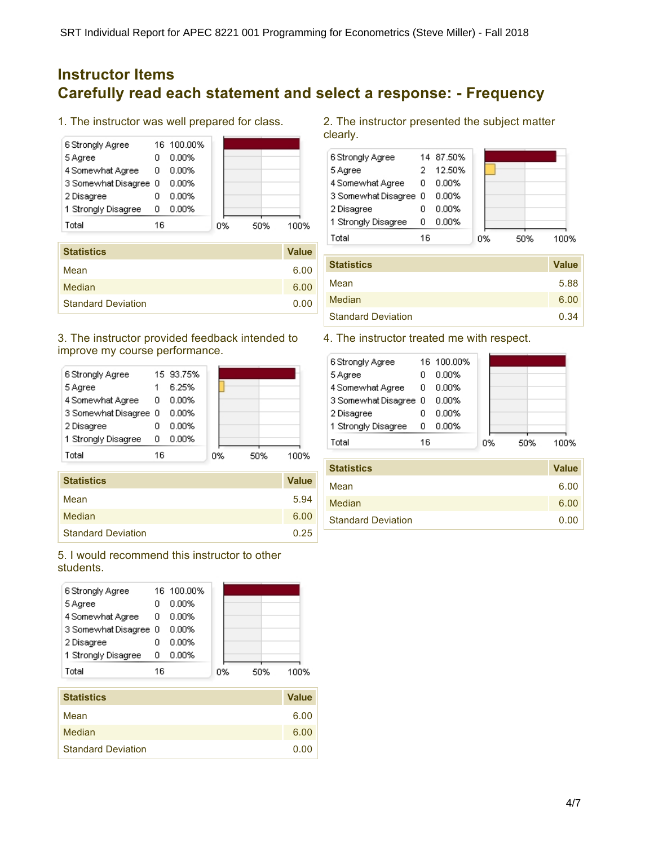## **Instructor Items Carefully read each statement and select a response: - Frequency**

1. The instructor was well prepared for class.



| <b>Statistics</b>         | <b>Value</b> |
|---------------------------|--------------|
| Mean                      | 6.00         |
| Median                    | 6.00         |
| <b>Standard Deviation</b> | 0.00         |

### 3. The instructor provided feedback intended to improve my course performance.



| <b>Statistics</b>         | <b>Value</b> |
|---------------------------|--------------|
| Mean                      | 5.94         |
| Median                    | 6.00         |
| <b>Standard Deviation</b> | 0.25         |

### 5. I would recommend this instructor to other students.



| Mean                      | 6.00 |
|---------------------------|------|
| Median                    | 6.00 |
| <b>Standard Deviation</b> | 0.00 |

2. The instructor presented the subject matter clearly.

| 6 Strongly Agree      |    | 14 87.50% |    |     |  |
|-----------------------|----|-----------|----|-----|--|
| 5 Agree               |    | 12.50%    |    |     |  |
| 4 Somewhat Agree      | n  | 0.00%     |    |     |  |
| 3 Somewhat Disagree 0 |    | 0.00%     |    |     |  |
| 2 Disagree            |    | 0.00%     |    |     |  |
| 1 Strongly Disagree   | n  | 0.00%     |    |     |  |
| Total                 | 16 |           | n% | 50% |  |

| <b>Statistics</b>         | <b>Value</b> |
|---------------------------|--------------|
| Mean                      | 5.88         |
| Median                    | 6.00         |
| <b>Standard Deviation</b> | 0.34         |

### 4. The instructor treated me with respect.

| 6 Strongly Agree      |    | 16 100.00% |    |     |      |
|-----------------------|----|------------|----|-----|------|
| 5 Agree               |    | 0.00%      |    |     |      |
| 4 Somewhat Agree      | 0  | 0.00%      |    |     |      |
| 3 Somewhat Disagree 0 |    | 0.00%      |    |     |      |
| 2 Disagree            |    | 0.00%      |    |     |      |
| 1 Strongly Disagree   | 0  | 0.00%      |    |     |      |
| Total                 | 16 |            | 0% | 50% | 1በበ% |
|                       |    |            |    |     |      |

| <b>Statistics</b>         | <b>Value</b> |
|---------------------------|--------------|
| Mean                      | 6.00         |
| Median                    | 6.00         |
| <b>Standard Deviation</b> | 0.00         |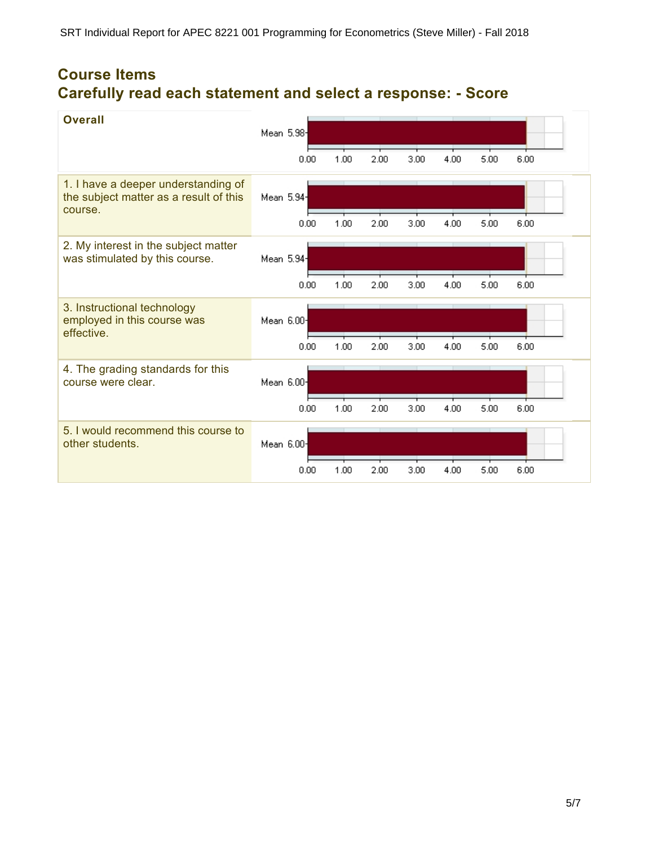# **Course Items Carefully read each statement and select a response: - Score**

| <b>Overall</b>                                                                           | Mean 5.98- |      |      |      |      |      |      |
|------------------------------------------------------------------------------------------|------------|------|------|------|------|------|------|
|                                                                                          | 0.00       | 1.00 | 2.00 | 3.00 | 4.00 | 5.00 | 6.00 |
| 1. I have a deeper understanding of<br>the subject matter as a result of this<br>course. | Mean 5.94- |      |      |      |      |      |      |
|                                                                                          | 0.00       | 1.00 | 2.00 | 3.00 | 4.00 | 5.00 | 6.00 |
| 2. My interest in the subject matter<br>was stimulated by this course.                   | Mean 5.94- |      |      |      |      |      |      |
|                                                                                          | 0.00       | 1.00 | 2.00 | 3.00 | 4.00 | 5.00 | 6.00 |
| 3. Instructional technology<br>employed in this course was<br>effective.                 | Mean 6.00- |      |      |      |      |      |      |
|                                                                                          | 0.00       | 1.00 | 2.00 | 3.00 | 4.00 | 5.00 | 6.00 |
| 4. The grading standards for this<br>course were clear.                                  | Mean 6.00- |      |      |      |      |      |      |
|                                                                                          | 0.00       | 1.00 | 2.00 | 3.00 | 4.00 | 5.00 | 6.00 |
| 5. I would recommend this course to<br>other students.                                   | Mean 6.00- |      |      |      |      |      |      |
|                                                                                          | 0.00       | 1.00 | 2.00 | 3.00 | 4.00 | 5.00 | 6.00 |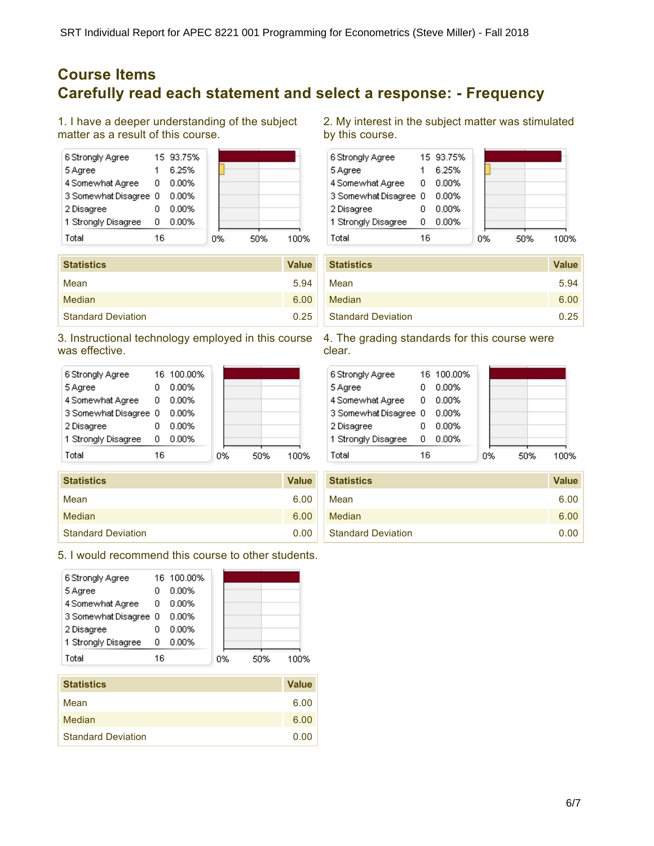## **Course Items Carefully read each statement and select a response: - Frequency**

1. I have a deeper understanding of the subject matter as a result of this course.

| 6 Strongly Agree      |    | 15 93.75% |    |     |      |
|-----------------------|----|-----------|----|-----|------|
| 5 Agree               |    | 6.25%     |    |     |      |
| 4 Somewhat Agree      | 0  | 0.00%     |    |     |      |
| 3 Somewhat Disagree 0 |    | 0.00%     |    |     |      |
| 2 Disagree            |    | 0.00%     |    |     |      |
| 1 Strongly Disagree   | ο  | 0.00%     |    |     |      |
| Total                 | 16 |           | 0% | 50% | 100% |

| <b>Statistics</b>         | <b>Value</b> |
|---------------------------|--------------|
| Mean                      | 5.94         |
| Median                    | 6.00         |
| <b>Standard Deviation</b> | 0.25         |

3. Instructional technology employed in this course was effective.



| <b>Statistics</b>         | <b>Value</b> |
|---------------------------|--------------|
| Mean                      | 6.00         |
| Median                    | 6.00         |
| <b>Standard Deviation</b> | 0.00         |

5. I would recommend this course to other students.

| 6 Strongly Agree      |    | 16 100.00% |    |     |      |
|-----------------------|----|------------|----|-----|------|
| 5 Agree               |    | 0.00%      |    |     |      |
| 4 Somewhat Agree      | 0  | 0.00%      |    |     |      |
| 3 Somewhat Disagree 0 |    | 0.00%      |    |     |      |
| 2 Disagree            |    | 0.00%      |    |     |      |
| 1 Strongly Disagree   | n  | 0.00%      |    |     |      |
| Total                 | 16 |            | 0% | 50% | 100% |
|                       |    |            |    |     |      |

| <b>Statistics</b>         | <b>Value</b> |
|---------------------------|--------------|
| Mean                      | 6.00         |
| Median                    | 6.00         |
| <b>Standard Deviation</b> | 0.00         |

2. My interest in the subject matter was stimulated by this course.



| <b>Statistics</b>         | <b>Value</b> |
|---------------------------|--------------|
| Mean                      | 5.94         |
| Median                    | 6.00         |
| <b>Standard Deviation</b> | 0.25         |

4. The grading standards for this course were clear.

| 6 Strongly Agree      |    | 16 100.00% |    |     |      |
|-----------------------|----|------------|----|-----|------|
| 5 Agree               |    | 0.00%      |    |     |      |
| 4 Somewhat Agree      | 0  | $0.00\%$   |    |     |      |
| 3 Somewhat Disagree 0 |    | $0.00\%$   |    |     |      |
| 2 Disagree            |    | 0.00%      |    |     |      |
| 1 Strongly Disagree   | Ω  | 0.00%      |    |     |      |
| Total                 | 16 |            | 0% | 50% | 1በበ% |

| <b>Statistics</b>         | <b>Value</b> |
|---------------------------|--------------|
| Mean                      | 6.00         |
| Median                    | 6.00         |
| <b>Standard Deviation</b> | 0.00         |